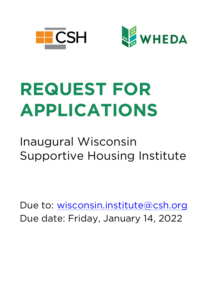



# **REQUEST FOR APPLICATIONS**

## Inaugural Wisconsin Supportive Housing Institute

Due to: wisconsin.institute@csh.org Due date: Friday, January 14, 2022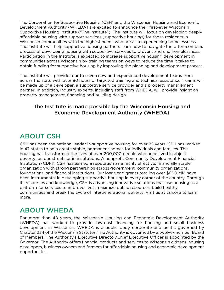The Corporation for Supportive Housing (CSH) and the Wisconsin Housing and Economic Development Authority (WHEDA) are excited to announce their first-ever Wisconsin Supportive Housing Institute ("The Institute"). The Institute will focus on developing deeply affordable housing with support services (supportive housing) for those residents in Wisconsin communities with the highest needs who are also experiencing homelessness. The Institute will help supportive housing partners learn how to navigate the often-complex process of developing housing with supportive services to prevent and end homelessness. Participation in the Institute is expected to increase supportive housing development in communities across Wisconsin by training teams on ways to reduce the time it takes to obtain funding for supportive housing by improving the planning and development process.

The Institute will provide four to seven new and experienced development teams from across the state with over 80 hours of targeted training and technical assistance. Teams will be made up of a developer, a supportive service provider and a property management partner. In addition, industry experts, including staff from WHEDA, will provide insight on property management, financing and building design.

#### The Institute is made possible by the Wisconsin Housing and Economic Development Authority (WHEDA)

## ABOUT CSH

CSH has been the national leader in supportive housing for over 25 years. CSH has worked in 47 states to help create stable, permanent homes for individuals and families. This housing has transformed the lives of over 200,000 people who once lived in abject poverty, on our streets or in institutions. A nonprofit Community Development Financial Institution (CDFI), CSH has earned a reputation as a highly effective, financially stable organization with strong partnerships across government, community organizations, foundations, and financial institutions. Our loans and grants totaling over \$600 MM have been instrumental in developing supportive housing in every corner of the country. Through its resources and knowledge, CSH is advancing innovative solutions that use housing as a platform for services to improve lives, maximize public resources, build healthy communities and break the cycle of intergenerational poverty. Visit us at csh.org to learn more.

## ABOUT WHEDA

For more than 48 years, the Wisconsin Housing and Economic Development Authority (WHEDA) has worked to provide low-cost financing for housing and small business development in Wisconsin. WHEDA is a public body corporate and politic governed by Chapter 234 of the Wisconsin Statutes. The Authority is governed by a twelve-member Board of Members. The Authority's Executive Director/Chief Executive Officer is appointed by the Governor. The Authority offers financial products and services to Wisconsin citizens, housing developers, business owners and farmers for affordable housing and economic development opportunities.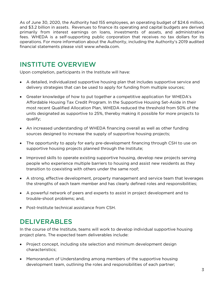As of June 30, 2020, the Authority had 155 employees, an operating budget of \$24.6 million, and \$3.2 billion in assets. Revenues to finance its operating and capital budgets are derived primarily from interest earnings on loans, investments of assets, and administrative fees. WHEDA is a self-supporting public corporation that receives no tax dollars for its operations. For more information about the Authority, including the Authority's 2019 audited financial statements please visit www.wheda.com.

## INSTITUTE OVERVIEW

Upon completion, participants in the Institute will have:

- A detailed, individualized supportive housing plan that includes supportive service and delivery strategies that can be used to apply for funding from multiple sources;
- Greater knowledge of how to put together a competitive application for WHEDA's Affordable Housing Tax Credit Program. In the Supportive Housing Set-Aside in their most recent Qualified Allocation Plan, WHEDA reduced the threshold from 50% of the units designated as supportive to 25%, thereby making it possible for more projects to qualify;
- An increased understanding of WHEDA financing overall as well as other funding sources designed to increase the supply of supportive housing projects;
- The opportunity to apply for early pre-development financing through CSH to use on supportive housing projects planned through the Institute;
- Improved skills to operate existing supportive housing, develop new projects serving people who experience multiple barriers to housing and assist new residents as they transition to coexisting with others under the same roof;
- A strong, effective development, property management and service team that leverages the strengths of each team member and has clearly defined roles and responsibilities;
- A powerful network of peers and experts to assist in project development and to trouble-shoot problems; and,
- Post-Institute technical assistance from CSH.

## DELIVERABLES

In the course of the Institute, teams will work to develop individual supportive housing project plans. The expected team deliverables include:

- Project concept, including site selection and minimum development design characteristics;
- Memorandum of Understanding among members of the supportive housing development team, outlining the roles and responsibilities of each partner;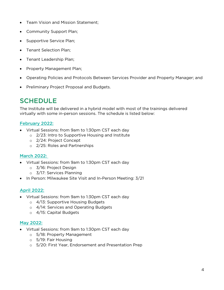- Team Vision and Mission Statement;
- Community Support Plan;
- Supportive Service Plan;
- Tenant Selection Plan;
- Tenant Leadership Plan;
- Property Management Plan;
- Operating Policies and Protocols Between Services Provider and Property Manager; and
- Preliminary Project Proposal and Budgets.

## **SCHEDULE**

The Institute will be delivered in a hybrid model with most of the trainings delivered virtually with some in-person sessions. The schedule is listed below:

#### February 2022:

- Virtual Sessions: from 9am to 1:30pm CST each day
	- o 2/23: Intro to Supportive Housing and Institute
	- o 2/24: Project Concept
	- o 2/25: Roles and Partnerships

#### March 2022:

- Virtual Sessions: from 9am to 1:30pm CST each day
	- o 3/16: Project Design
	- o 3/17: Services Planning
- In Person: Milwaukee Site Visit and In-Person Meeting: 3/21

#### April 2022:

- Virtual Sessions: from 9am to 1:30pm CST each day
	- o 4/13: Supportive Housing Budgets
	- o 4/14: Services and Operating Budgets
	- o 4/15: Capital Budgets

#### May 2022:

- Virtual Sessions: from 9am to 1:30pm CST each day
	- o 5/18: Property Management
	- o 5/19: Fair Housing
	- o 5/20: First Year, Endorsement and Presentation Prep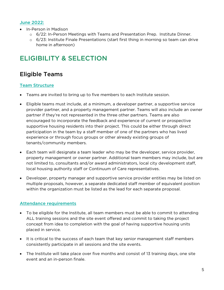#### June 2022:

- In-Person in Madison
	- o 6/22: In-Person Meetings with Teams and Presentation Prep. Institute Dinner.
	- $\circ$  6/23: Institute Finale Presentations (start first thing in morning so team can drive home in afternoon)

## ELIGIBILITY & SELECTION

## Eligible Teams

#### Team Structure

- Teams are invited to bring up to five members to each Institute session.
- Eligible teams must include, at a minimum, a developer partner, a supportive service provider partner, and a property management partner. Teams will also include an owner partner if they're not represented in the three other partners. Teams are also encouraged to incorporate the feedback and experience of current or prospective supportive housing residents into their project. This could be either through direct participation in the team by a staff member of one of the partners who has lived experience or through focus groups or other already existing groups of tenants/community members.
- Each team will designate a team leader who may be the developer, service provider, property management or owner partner. Additional team members may include, but are not limited to, consultants and/or award administrators, local city development staff, local housing authority staff or Continuum of Care representatives.
- Developer, property manager and supportive service provider entities may be listed on multiple proposals, however, a separate dedicated staff member of equivalent position within the organization must be listed as the lead for each separate proposal.

#### Attendance requirements

- To be eligible for the Institute, all team members must be able to commit to attending ALL training sessions and the site event offered and commit to taking the project concept from idea to completion with the goal of having supportive housing units placed in service.
- It is critical to the success of each team that key senior management staff members consistently participate in all sessions and the site events.
- The Institute will take place over five months and consist of 13 training days, one site event and an in-person finale.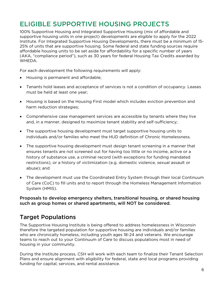## ELIGIBLE SUPPORTIVE HOUSING PROJECTS

100% Supportive Housing and Integrated Supportive Housing (mix of affordable and supportive housing units in one project) developments are eligible to apply for the 2022 Institute. For Integrated Supportive Housing Developments, there must be a minimum of 15- 25% of units that are supportive housing. Some federal and state funding sources require affordable housing units to be set aside for affordability for a specific number of years (AKA, "compliance period"), such as 30 years for federal Housing Tax Credits awarded by WHEDA.

For each development the following requirements will apply:

- Housing is permanent and affordable;
- Tenants hold leases and acceptance of services is not a condition of occupancy. Leases must be held at least one year;
- Housing is based on the Housing First model which includes eviction prevention and harm reduction strategies;
- Comprehensive case management services are accessible by tenants where they live and, in a manner, designed to maximize tenant stability and self-sufficiency;
- The supportive housing development must target supportive housing units to individuals and/or families who meet the HUD definition of Chronic Homelessness.
- The supportive housing development must design tenant screening in a manner that ensures tenants are not screened out for having too little or no income, active or a history of substance use, a criminal record (with exceptions for funding mandated restrictions), or a history of victimization (e.g. domestic violence, sexual assault or abuse); and
- The development must use the Coordinated Entry System through their local Continuum of Care (CoC) to fill units and to report through the Homeless Management Information System (HMIS).

Proposals to develop emergency shelters, transitional housing, or shared housing such as group homes or shared apartments, will NOT be considered.

## Target Populations

The Supportive Housing Institute is being offered to address homelessness in Wisconsin therefore the targeted population for supportive housing are individuals and/or families who are chronically homeless, including youth ages 18-24 and veterans. We encourage teams to reach out to your Continuum of Care to discuss populations most in need of housing in your community.

During the Institute process, CSH will work with each team to finalize their Tenant Selection Plans and ensure alignment with eligibility for federal, state and local programs providing funding for capital, services, and rental assistance.